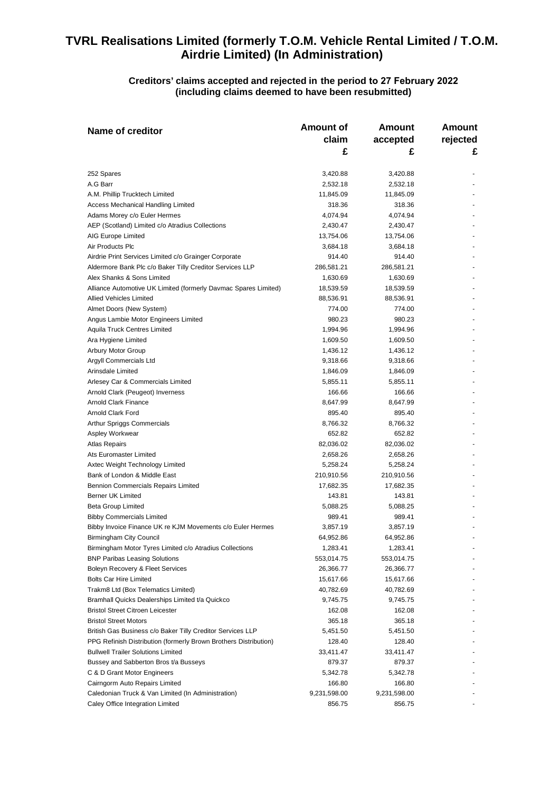| Name of creditor                                                 | <b>Amount of</b> | Amount       | Amount   |
|------------------------------------------------------------------|------------------|--------------|----------|
|                                                                  | claim            | accepted     | rejected |
|                                                                  | £                | £            | £        |
|                                                                  |                  |              |          |
| 252 Spares                                                       | 3,420.88         | 3,420.88     |          |
| A.G Barr                                                         | 2,532.18         | 2,532.18     |          |
| A.M. Phillip Trucktech Limited                                   | 11,845.09        | 11,845.09    |          |
| Access Mechanical Handling Limited                               | 318.36           | 318.36       |          |
| Adams Morey c/o Euler Hermes                                     | 4,074.94         | 4,074.94     |          |
| AEP (Scotland) Limited c/o Atradius Collections                  | 2,430.47         | 2,430.47     |          |
| AIG Europe Limited                                               | 13,754.06        | 13,754.06    |          |
| Air Products Plc                                                 | 3,684.18         | 3,684.18     |          |
| Airdrie Print Services Limited c/o Grainger Corporate            | 914.40           | 914.40       |          |
| Aldermore Bank Plc c/o Baker Tilly Creditor Services LLP         | 286,581.21       | 286,581.21   |          |
| Alex Shanks & Sons Limited                                       | 1,630.69         | 1,630.69     |          |
| Alliance Automotive UK Limited (formerly Davmac Spares Limited)  | 18,539.59        | 18,539.59    |          |
| Allied Vehicles Limited                                          | 88,536.91        | 88,536.91    |          |
| Almet Doors (New System)                                         | 774.00           | 774.00       |          |
| Angus Lambie Motor Engineers Limited                             | 980.23           | 980.23       |          |
| Aquila Truck Centres Limited                                     | 1,994.96         | 1,994.96     |          |
| Ara Hygiene Limited                                              | 1,609.50         | 1,609.50     |          |
| Arbury Motor Group                                               | 1,436.12         | 1,436.12     |          |
| Argyll Commercials Ltd                                           | 9,318.66         | 9,318.66     |          |
| Arinsdale Limited                                                | 1,846.09         | 1,846.09     |          |
| Arlesey Car & Commercials Limited                                | 5,855.11         | 5,855.11     |          |
| Arnold Clark (Peugeot) Inverness                                 | 166.66           | 166.66       |          |
| Arnold Clark Finance                                             | 8,647.99         | 8,647.99     |          |
| Arnold Clark Ford                                                | 895.40           | 895.40       |          |
| Arthur Spriggs Commercials                                       | 8,766.32         | 8,766.32     |          |
| Aspley Workwear                                                  | 652.82           | 652.82       |          |
| Atlas Repairs                                                    | 82,036.02        | 82,036.02    |          |
| Ats Euromaster Limited                                           | 2,658.26         | 2,658.26     |          |
| Axtec Weight Technology Limited                                  | 5,258.24         | 5,258.24     |          |
| Bank of London & Middle East                                     | 210,910.56       | 210,910.56   |          |
| Bennion Commercials Repairs Limited                              | 17,682.35        | 17,682.35    |          |
| Berner UK Limited                                                | 143.81           | 143.81       |          |
| Beta Group Limited                                               | 5,088.25         | 5,088.25     |          |
| <b>Bibby Commercials Limited</b>                                 | 989.41           | 989.41       |          |
| Bibby Invoice Finance UK re KJM Movements c/o Euler Hermes       | 3,857.19         | 3,857.19     |          |
| Birmingham City Council                                          | 64,952.86        | 64,952.86    |          |
| Birmingham Motor Tyres Limited c/o Atradius Collections          | 1,283.41         | 1,283.41     |          |
| <b>BNP Paribas Leasing Solutions</b>                             | 553,014.75       | 553,014.75   |          |
| Boleyn Recovery & Fleet Services                                 | 26,366.77        | 26,366.77    |          |
| <b>Bolts Car Hire Limited</b>                                    | 15,617.66        | 15,617.66    |          |
| Trakm8 Ltd (Box Telematics Limited)                              | 40,782.69        | 40,782.69    |          |
| Bramhall Quicks Dealerships Limited t/a Quickco                  | 9,745.75         | 9,745.75     |          |
| <b>Bristol Street Citroen Leicester</b>                          | 162.08           | 162.08       |          |
| <b>Bristol Street Motors</b>                                     | 365.18           | 365.18       |          |
| British Gas Business c/o Baker Tilly Creditor Services LLP       | 5,451.50         | 5,451.50     |          |
| PPG Refinish Distribution (formerly Brown Brothers Distribution) | 128.40           | 128.40       |          |
| <b>Bullwell Trailer Solutions Limited</b>                        | 33,411.47        | 33,411.47    |          |
| Bussey and Sabberton Bros t/a Busseys                            | 879.37           | 879.37       |          |
| C & D Grant Motor Engineers                                      | 5,342.78         | 5,342.78     |          |
| Cairngorm Auto Repairs Limited                                   | 166.80           | 166.80       |          |
| Caledonian Truck & Van Limited (In Administration)               | 9,231,598.00     | 9,231,598.00 |          |
| Caley Office Integration Limited                                 | 856.75           | 856.75       |          |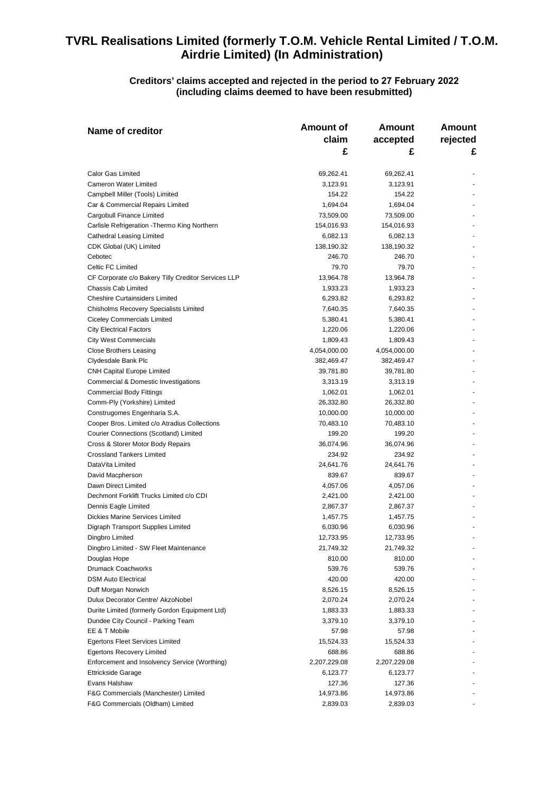| Name of creditor                                    | <b>Amount of</b> | Amount       | Amount   |
|-----------------------------------------------------|------------------|--------------|----------|
|                                                     | claim            | accepted     | rejected |
|                                                     | £                | £            | £        |
| <b>Calor Gas Limited</b>                            | 69,262.41        | 69,262.41    |          |
| <b>Cameron Water Limited</b>                        | 3,123.91         | 3,123.91     |          |
| Campbell Miller (Tools) Limited                     | 154.22           | 154.22       |          |
| Car & Commercial Repairs Limited                    | 1,694.04         | 1,694.04     |          |
| Cargobull Finance Limited                           | 73,509.00        | 73,509.00    |          |
| Carlisle Refrigeration - Thermo King Northern       | 154,016.93       | 154,016.93   |          |
| Cathedral Leasing Limited                           | 6,082.13         | 6,082.13     |          |
| CDK Global (UK) Limited                             | 138,190.32       | 138,190.32   |          |
| Cebotec                                             | 246.70           | 246.70       |          |
| Celtic FC Limited                                   | 79.70            | 79.70        |          |
| CF Corporate c/o Bakery Tilly Creditor Services LLP | 13,964.78        | 13,964.78    |          |
| Chassis Cab Limited                                 | 1,933.23         | 1,933.23     |          |
| <b>Cheshire Curtainsiders Limited</b>               | 6,293.82         | 6,293.82     |          |
| Chisholms Recovery Specialists Limited              | 7,640.35         | 7,640.35     |          |
| Ciceley Commercials Limited                         | 5,380.41         | 5,380.41     |          |
| <b>City Electrical Factors</b>                      | 1,220.06         | 1,220.06     |          |
| <b>City West Commercials</b>                        | 1,809.43         | 1,809.43     |          |
| <b>Close Brothers Leasing</b>                       | 4,054,000.00     | 4,054,000.00 |          |
| Clydesdale Bank Plc                                 | 382,469.47       | 382,469.47   |          |
| <b>CNH Capital Europe Limited</b>                   | 39,781.80        | 39,781.80    |          |
| Commercial & Domestic Investigations                | 3,313.19         | 3,313.19     |          |
| <b>Commercial Body Fittings</b>                     | 1,062.01         | 1,062.01     |          |
| Comm-Ply (Yorkshire) Limited                        | 26,332.80        | 26,332.80    |          |
| Construgomes Engenharia S.A.                        | 10,000.00        | 10,000.00    |          |
| Cooper Bros. Limited c/o Atradius Collections       | 70,483.10        | 70,483.10    |          |
| Courier Connections (Scotland) Limited              | 199.20           | 199.20       |          |
| Cross & Storer Motor Body Repairs                   | 36,074.96        | 36,074.96    |          |
| <b>Crossland Tankers Limited</b>                    | 234.92           | 234.92       |          |
| DataVita Limited                                    | 24,641.76        | 24,641.76    |          |
| David Macpherson                                    | 839.67           | 839.67       |          |
| Dawn Direct Limited                                 | 4,057.06         | 4,057.06     |          |
| Dechmont Forklift Trucks Limited c/o CDI            | 2,421.00         | 2,421.00     |          |
| Dennis Eagle Limited                                | 2,867.37         | 2,867.37     |          |
| <b>Dickies Marine Services Limited</b>              | 1,457.75         | 1,457.75     |          |
| Digraph Transport Supplies Limited                  | 6,030.96         | 6,030.96     |          |
| Dingbro Limited                                     | 12,733.95        | 12,733.95    |          |
| Dingbro Limited - SW Fleet Maintenance              | 21,749.32        | 21,749.32    |          |
| Douglas Hope                                        | 810.00           | 810.00       |          |
| Drumack Coachworks                                  | 539.76           | 539.76       |          |
| <b>DSM Auto Electrical</b>                          | 420.00           | 420.00       |          |
| Duff Morgan Norwich                                 | 8,526.15         | 8,526.15     |          |
| Dulux Decorator Centre/ AkzoNobel                   | 2,070.24         | 2,070.24     |          |
| Durite Limited (formerly Gordon Equipment Ltd)      | 1,883.33         | 1,883.33     |          |
| Dundee City Council - Parking Team                  | 3,379.10         | 3,379.10     |          |
| EE & T Mobile                                       | 57.98            | 57.98        |          |
| Egertons Fleet Services Limited                     | 15,524.33        | 15,524.33    |          |
| <b>Egertons Recovery Limited</b>                    | 688.86           | 688.86       |          |
| Enforcement and Insolvency Service (Worthing)       | 2,207,229.08     | 2,207,229.08 |          |
| Ettrickside Garage                                  | 6,123.77         | 6,123.77     |          |
| Evans Halshaw                                       | 127.36           | 127.36       |          |
| F&G Commercials (Manchester) Limited                | 14,973.86        | 14,973.86    |          |
| F&G Commercials (Oldham) Limited                    | 2,839.03         | 2,839.03     |          |
|                                                     |                  |              |          |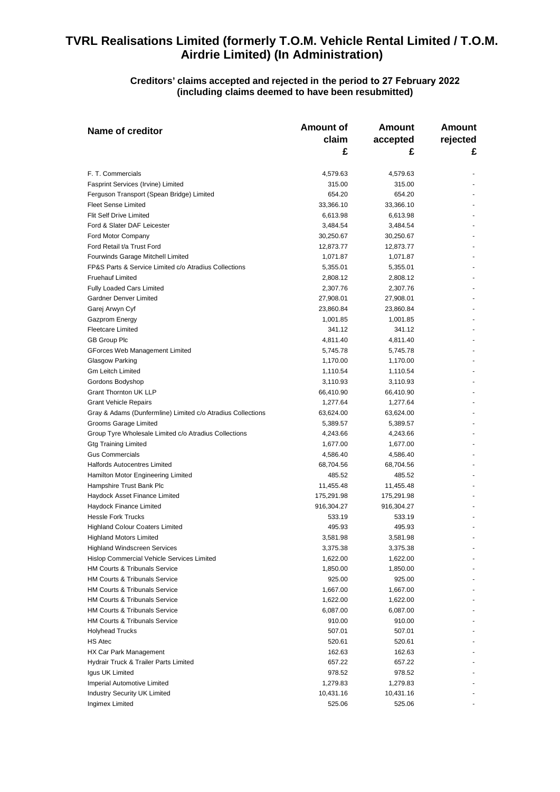| claim<br>accepted<br>rejected<br>£<br>£<br>£<br>F. T. Commercials<br>4,579.63<br>4,579.63<br>Fasprint Services (Irvine) Limited<br>315.00<br>315.00<br>Ferguson Transport (Spean Bridge) Limited<br>654.20<br>654.20<br><b>Fleet Sense Limited</b><br>33,366.10<br>33,366.10<br>Flit Self Drive Limited<br>6,613.98<br>6,613.98<br>Ford & Slater DAF Leicester<br>3,484.54<br>3,484.54<br>Ford Motor Company<br>30,250.67<br>30,250.67<br>Ford Retail t/a Trust Ford<br>12,873.77<br>12,873.77<br>Fourwinds Garage Mitchell Limited<br>1,071.87<br>1,071.87<br>FP&S Parts & Service Limited c/o Atradius Collections<br>5,355.01<br>5,355.01<br><b>Fruehauf Limited</b><br>2,808.12<br>2,808.12<br><b>Fully Loaded Cars Limited</b><br>2,307.76<br>2,307.76<br>Gardner Denver Limited<br>27,908.01<br>27,908.01<br>Garej Arwyn Cyf<br>23,860.84<br>23,860.84<br>Gazprom Energy<br>1,001.85<br>1,001.85<br><b>Fleetcare Limited</b><br>341.12<br>341.12<br><b>GB Group Plc</b><br>4,811.40<br>4,811.40<br>GForces Web Management Limited<br>5,745.78<br>5,745.78<br>Glasgow Parking<br>1,170.00<br>1,170.00<br><b>Gm Leitch Limited</b><br>1,110.54<br>1,110.54<br>Gordons Bodyshop<br>3,110.93<br>3,110.93<br><b>Grant Thornton UK LLP</b><br>66,410.90<br>66,410.90<br><b>Grant Vehicle Repairs</b><br>1,277.64<br>1,277.64<br>Gray & Adams (Dunfermline) Limited c/o Atradius Collections<br>63,624.00<br>63,624.00<br>Grooms Garage Limited<br>5,389.57<br>5,389.57<br>Group Tyre Wholesale Limited c/o Atradius Collections<br>4,243.66<br>4,243.66<br><b>Gtg Training Limited</b><br>1,677.00<br>1,677.00<br><b>Gus Commercials</b><br>4,586.40<br>4,586.40<br>Halfords Autocentres Limited<br>68,704.56<br>68,704.56<br>Hamilton Motor Engineering Limited<br>485.52<br>485.52<br>Hampshire Trust Bank Plc<br>11,455.48<br>11,455.48<br>Haydock Asset Finance Limited<br>175,291.98<br>175,291.98<br>Haydock Finance Limited<br>916,304.27<br>916,304.27<br><b>Hessle Fork Trucks</b><br>533.19<br>533.19<br><b>Highland Colour Coaters Limited</b><br>495.93<br>495.93<br><b>Highland Motors Limited</b><br>3,581.98<br>3.581.98<br><b>Highland Windscreen Services</b><br>3,375.38<br>3,375.38<br>Hislop Commercial Vehicle Services Limited<br>1,622.00<br>1,622.00<br>HM Courts & Tribunals Service<br>1,850.00<br>1,850.00<br><b>HM Courts &amp; Tribunals Service</b><br>925.00<br>925.00<br><b>HM Courts &amp; Tribunals Service</b><br>1,667.00<br>1,667.00<br>HM Courts & Tribunals Service<br>1,622.00<br>1,622.00<br><b>HM Courts &amp; Tribunals Service</b><br>6,087.00<br>6,087.00<br><b>HM Courts &amp; Tribunals Service</b><br>910.00<br>910.00<br><b>Holyhead Trucks</b><br>507.01<br>507.01<br>HS Atec<br>520.61<br>520.61<br>HX Car Park Management<br>162.63<br>162.63<br>Hydrair Truck & Trailer Parts Limited<br>657.22<br>657.22<br>Igus UK Limited<br>978.52<br>978.52<br>Imperial Automotive Limited<br>1,279.83<br>1,279.83<br>Industry Security UK Limited<br>10,431.16<br>10,431.16<br>525.06 | Name of creditor | Amount of | Amount | Amount |
|----------------------------------------------------------------------------------------------------------------------------------------------------------------------------------------------------------------------------------------------------------------------------------------------------------------------------------------------------------------------------------------------------------------------------------------------------------------------------------------------------------------------------------------------------------------------------------------------------------------------------------------------------------------------------------------------------------------------------------------------------------------------------------------------------------------------------------------------------------------------------------------------------------------------------------------------------------------------------------------------------------------------------------------------------------------------------------------------------------------------------------------------------------------------------------------------------------------------------------------------------------------------------------------------------------------------------------------------------------------------------------------------------------------------------------------------------------------------------------------------------------------------------------------------------------------------------------------------------------------------------------------------------------------------------------------------------------------------------------------------------------------------------------------------------------------------------------------------------------------------------------------------------------------------------------------------------------------------------------------------------------------------------------------------------------------------------------------------------------------------------------------------------------------------------------------------------------------------------------------------------------------------------------------------------------------------------------------------------------------------------------------------------------------------------------------------------------------------------------------------------------------------------------------------------------------------------------------------------------------------------------------------------------------------------------------------------------------------------------------------------------------------------------------------------------------------------------------------------------------------------------------------------------------------------------------------------------------------------------------------------------------------------------|------------------|-----------|--------|--------|
|                                                                                                                                                                                                                                                                                                                                                                                                                                                                                                                                                                                                                                                                                                                                                                                                                                                                                                                                                                                                                                                                                                                                                                                                                                                                                                                                                                                                                                                                                                                                                                                                                                                                                                                                                                                                                                                                                                                                                                                                                                                                                                                                                                                                                                                                                                                                                                                                                                                                                                                                                                                                                                                                                                                                                                                                                                                                                                                                                                                                                                  |                  |           |        |        |
|                                                                                                                                                                                                                                                                                                                                                                                                                                                                                                                                                                                                                                                                                                                                                                                                                                                                                                                                                                                                                                                                                                                                                                                                                                                                                                                                                                                                                                                                                                                                                                                                                                                                                                                                                                                                                                                                                                                                                                                                                                                                                                                                                                                                                                                                                                                                                                                                                                                                                                                                                                                                                                                                                                                                                                                                                                                                                                                                                                                                                                  |                  |           |        |        |
|                                                                                                                                                                                                                                                                                                                                                                                                                                                                                                                                                                                                                                                                                                                                                                                                                                                                                                                                                                                                                                                                                                                                                                                                                                                                                                                                                                                                                                                                                                                                                                                                                                                                                                                                                                                                                                                                                                                                                                                                                                                                                                                                                                                                                                                                                                                                                                                                                                                                                                                                                                                                                                                                                                                                                                                                                                                                                                                                                                                                                                  |                  |           |        |        |
|                                                                                                                                                                                                                                                                                                                                                                                                                                                                                                                                                                                                                                                                                                                                                                                                                                                                                                                                                                                                                                                                                                                                                                                                                                                                                                                                                                                                                                                                                                                                                                                                                                                                                                                                                                                                                                                                                                                                                                                                                                                                                                                                                                                                                                                                                                                                                                                                                                                                                                                                                                                                                                                                                                                                                                                                                                                                                                                                                                                                                                  |                  |           |        |        |
|                                                                                                                                                                                                                                                                                                                                                                                                                                                                                                                                                                                                                                                                                                                                                                                                                                                                                                                                                                                                                                                                                                                                                                                                                                                                                                                                                                                                                                                                                                                                                                                                                                                                                                                                                                                                                                                                                                                                                                                                                                                                                                                                                                                                                                                                                                                                                                                                                                                                                                                                                                                                                                                                                                                                                                                                                                                                                                                                                                                                                                  |                  |           |        |        |
|                                                                                                                                                                                                                                                                                                                                                                                                                                                                                                                                                                                                                                                                                                                                                                                                                                                                                                                                                                                                                                                                                                                                                                                                                                                                                                                                                                                                                                                                                                                                                                                                                                                                                                                                                                                                                                                                                                                                                                                                                                                                                                                                                                                                                                                                                                                                                                                                                                                                                                                                                                                                                                                                                                                                                                                                                                                                                                                                                                                                                                  |                  |           |        |        |
|                                                                                                                                                                                                                                                                                                                                                                                                                                                                                                                                                                                                                                                                                                                                                                                                                                                                                                                                                                                                                                                                                                                                                                                                                                                                                                                                                                                                                                                                                                                                                                                                                                                                                                                                                                                                                                                                                                                                                                                                                                                                                                                                                                                                                                                                                                                                                                                                                                                                                                                                                                                                                                                                                                                                                                                                                                                                                                                                                                                                                                  |                  |           |        |        |
|                                                                                                                                                                                                                                                                                                                                                                                                                                                                                                                                                                                                                                                                                                                                                                                                                                                                                                                                                                                                                                                                                                                                                                                                                                                                                                                                                                                                                                                                                                                                                                                                                                                                                                                                                                                                                                                                                                                                                                                                                                                                                                                                                                                                                                                                                                                                                                                                                                                                                                                                                                                                                                                                                                                                                                                                                                                                                                                                                                                                                                  |                  |           |        |        |
|                                                                                                                                                                                                                                                                                                                                                                                                                                                                                                                                                                                                                                                                                                                                                                                                                                                                                                                                                                                                                                                                                                                                                                                                                                                                                                                                                                                                                                                                                                                                                                                                                                                                                                                                                                                                                                                                                                                                                                                                                                                                                                                                                                                                                                                                                                                                                                                                                                                                                                                                                                                                                                                                                                                                                                                                                                                                                                                                                                                                                                  |                  |           |        |        |
|                                                                                                                                                                                                                                                                                                                                                                                                                                                                                                                                                                                                                                                                                                                                                                                                                                                                                                                                                                                                                                                                                                                                                                                                                                                                                                                                                                                                                                                                                                                                                                                                                                                                                                                                                                                                                                                                                                                                                                                                                                                                                                                                                                                                                                                                                                                                                                                                                                                                                                                                                                                                                                                                                                                                                                                                                                                                                                                                                                                                                                  |                  |           |        |        |
|                                                                                                                                                                                                                                                                                                                                                                                                                                                                                                                                                                                                                                                                                                                                                                                                                                                                                                                                                                                                                                                                                                                                                                                                                                                                                                                                                                                                                                                                                                                                                                                                                                                                                                                                                                                                                                                                                                                                                                                                                                                                                                                                                                                                                                                                                                                                                                                                                                                                                                                                                                                                                                                                                                                                                                                                                                                                                                                                                                                                                                  |                  |           |        |        |
|                                                                                                                                                                                                                                                                                                                                                                                                                                                                                                                                                                                                                                                                                                                                                                                                                                                                                                                                                                                                                                                                                                                                                                                                                                                                                                                                                                                                                                                                                                                                                                                                                                                                                                                                                                                                                                                                                                                                                                                                                                                                                                                                                                                                                                                                                                                                                                                                                                                                                                                                                                                                                                                                                                                                                                                                                                                                                                                                                                                                                                  |                  |           |        |        |
|                                                                                                                                                                                                                                                                                                                                                                                                                                                                                                                                                                                                                                                                                                                                                                                                                                                                                                                                                                                                                                                                                                                                                                                                                                                                                                                                                                                                                                                                                                                                                                                                                                                                                                                                                                                                                                                                                                                                                                                                                                                                                                                                                                                                                                                                                                                                                                                                                                                                                                                                                                                                                                                                                                                                                                                                                                                                                                                                                                                                                                  |                  |           |        |        |
|                                                                                                                                                                                                                                                                                                                                                                                                                                                                                                                                                                                                                                                                                                                                                                                                                                                                                                                                                                                                                                                                                                                                                                                                                                                                                                                                                                                                                                                                                                                                                                                                                                                                                                                                                                                                                                                                                                                                                                                                                                                                                                                                                                                                                                                                                                                                                                                                                                                                                                                                                                                                                                                                                                                                                                                                                                                                                                                                                                                                                                  |                  |           |        |        |
|                                                                                                                                                                                                                                                                                                                                                                                                                                                                                                                                                                                                                                                                                                                                                                                                                                                                                                                                                                                                                                                                                                                                                                                                                                                                                                                                                                                                                                                                                                                                                                                                                                                                                                                                                                                                                                                                                                                                                                                                                                                                                                                                                                                                                                                                                                                                                                                                                                                                                                                                                                                                                                                                                                                                                                                                                                                                                                                                                                                                                                  |                  |           |        |        |
|                                                                                                                                                                                                                                                                                                                                                                                                                                                                                                                                                                                                                                                                                                                                                                                                                                                                                                                                                                                                                                                                                                                                                                                                                                                                                                                                                                                                                                                                                                                                                                                                                                                                                                                                                                                                                                                                                                                                                                                                                                                                                                                                                                                                                                                                                                                                                                                                                                                                                                                                                                                                                                                                                                                                                                                                                                                                                                                                                                                                                                  |                  |           |        |        |
|                                                                                                                                                                                                                                                                                                                                                                                                                                                                                                                                                                                                                                                                                                                                                                                                                                                                                                                                                                                                                                                                                                                                                                                                                                                                                                                                                                                                                                                                                                                                                                                                                                                                                                                                                                                                                                                                                                                                                                                                                                                                                                                                                                                                                                                                                                                                                                                                                                                                                                                                                                                                                                                                                                                                                                                                                                                                                                                                                                                                                                  |                  |           |        |        |
|                                                                                                                                                                                                                                                                                                                                                                                                                                                                                                                                                                                                                                                                                                                                                                                                                                                                                                                                                                                                                                                                                                                                                                                                                                                                                                                                                                                                                                                                                                                                                                                                                                                                                                                                                                                                                                                                                                                                                                                                                                                                                                                                                                                                                                                                                                                                                                                                                                                                                                                                                                                                                                                                                                                                                                                                                                                                                                                                                                                                                                  |                  |           |        |        |
|                                                                                                                                                                                                                                                                                                                                                                                                                                                                                                                                                                                                                                                                                                                                                                                                                                                                                                                                                                                                                                                                                                                                                                                                                                                                                                                                                                                                                                                                                                                                                                                                                                                                                                                                                                                                                                                                                                                                                                                                                                                                                                                                                                                                                                                                                                                                                                                                                                                                                                                                                                                                                                                                                                                                                                                                                                                                                                                                                                                                                                  |                  |           |        |        |
|                                                                                                                                                                                                                                                                                                                                                                                                                                                                                                                                                                                                                                                                                                                                                                                                                                                                                                                                                                                                                                                                                                                                                                                                                                                                                                                                                                                                                                                                                                                                                                                                                                                                                                                                                                                                                                                                                                                                                                                                                                                                                                                                                                                                                                                                                                                                                                                                                                                                                                                                                                                                                                                                                                                                                                                                                                                                                                                                                                                                                                  |                  |           |        |        |
|                                                                                                                                                                                                                                                                                                                                                                                                                                                                                                                                                                                                                                                                                                                                                                                                                                                                                                                                                                                                                                                                                                                                                                                                                                                                                                                                                                                                                                                                                                                                                                                                                                                                                                                                                                                                                                                                                                                                                                                                                                                                                                                                                                                                                                                                                                                                                                                                                                                                                                                                                                                                                                                                                                                                                                                                                                                                                                                                                                                                                                  |                  |           |        |        |
|                                                                                                                                                                                                                                                                                                                                                                                                                                                                                                                                                                                                                                                                                                                                                                                                                                                                                                                                                                                                                                                                                                                                                                                                                                                                                                                                                                                                                                                                                                                                                                                                                                                                                                                                                                                                                                                                                                                                                                                                                                                                                                                                                                                                                                                                                                                                                                                                                                                                                                                                                                                                                                                                                                                                                                                                                                                                                                                                                                                                                                  |                  |           |        |        |
|                                                                                                                                                                                                                                                                                                                                                                                                                                                                                                                                                                                                                                                                                                                                                                                                                                                                                                                                                                                                                                                                                                                                                                                                                                                                                                                                                                                                                                                                                                                                                                                                                                                                                                                                                                                                                                                                                                                                                                                                                                                                                                                                                                                                                                                                                                                                                                                                                                                                                                                                                                                                                                                                                                                                                                                                                                                                                                                                                                                                                                  |                  |           |        |        |
|                                                                                                                                                                                                                                                                                                                                                                                                                                                                                                                                                                                                                                                                                                                                                                                                                                                                                                                                                                                                                                                                                                                                                                                                                                                                                                                                                                                                                                                                                                                                                                                                                                                                                                                                                                                                                                                                                                                                                                                                                                                                                                                                                                                                                                                                                                                                                                                                                                                                                                                                                                                                                                                                                                                                                                                                                                                                                                                                                                                                                                  |                  |           |        |        |
|                                                                                                                                                                                                                                                                                                                                                                                                                                                                                                                                                                                                                                                                                                                                                                                                                                                                                                                                                                                                                                                                                                                                                                                                                                                                                                                                                                                                                                                                                                                                                                                                                                                                                                                                                                                                                                                                                                                                                                                                                                                                                                                                                                                                                                                                                                                                                                                                                                                                                                                                                                                                                                                                                                                                                                                                                                                                                                                                                                                                                                  |                  |           |        |        |
|                                                                                                                                                                                                                                                                                                                                                                                                                                                                                                                                                                                                                                                                                                                                                                                                                                                                                                                                                                                                                                                                                                                                                                                                                                                                                                                                                                                                                                                                                                                                                                                                                                                                                                                                                                                                                                                                                                                                                                                                                                                                                                                                                                                                                                                                                                                                                                                                                                                                                                                                                                                                                                                                                                                                                                                                                                                                                                                                                                                                                                  |                  |           |        |        |
|                                                                                                                                                                                                                                                                                                                                                                                                                                                                                                                                                                                                                                                                                                                                                                                                                                                                                                                                                                                                                                                                                                                                                                                                                                                                                                                                                                                                                                                                                                                                                                                                                                                                                                                                                                                                                                                                                                                                                                                                                                                                                                                                                                                                                                                                                                                                                                                                                                                                                                                                                                                                                                                                                                                                                                                                                                                                                                                                                                                                                                  |                  |           |        |        |
|                                                                                                                                                                                                                                                                                                                                                                                                                                                                                                                                                                                                                                                                                                                                                                                                                                                                                                                                                                                                                                                                                                                                                                                                                                                                                                                                                                                                                                                                                                                                                                                                                                                                                                                                                                                                                                                                                                                                                                                                                                                                                                                                                                                                                                                                                                                                                                                                                                                                                                                                                                                                                                                                                                                                                                                                                                                                                                                                                                                                                                  |                  |           |        |        |
|                                                                                                                                                                                                                                                                                                                                                                                                                                                                                                                                                                                                                                                                                                                                                                                                                                                                                                                                                                                                                                                                                                                                                                                                                                                                                                                                                                                                                                                                                                                                                                                                                                                                                                                                                                                                                                                                                                                                                                                                                                                                                                                                                                                                                                                                                                                                                                                                                                                                                                                                                                                                                                                                                                                                                                                                                                                                                                                                                                                                                                  |                  |           |        |        |
|                                                                                                                                                                                                                                                                                                                                                                                                                                                                                                                                                                                                                                                                                                                                                                                                                                                                                                                                                                                                                                                                                                                                                                                                                                                                                                                                                                                                                                                                                                                                                                                                                                                                                                                                                                                                                                                                                                                                                                                                                                                                                                                                                                                                                                                                                                                                                                                                                                                                                                                                                                                                                                                                                                                                                                                                                                                                                                                                                                                                                                  |                  |           |        |        |
|                                                                                                                                                                                                                                                                                                                                                                                                                                                                                                                                                                                                                                                                                                                                                                                                                                                                                                                                                                                                                                                                                                                                                                                                                                                                                                                                                                                                                                                                                                                                                                                                                                                                                                                                                                                                                                                                                                                                                                                                                                                                                                                                                                                                                                                                                                                                                                                                                                                                                                                                                                                                                                                                                                                                                                                                                                                                                                                                                                                                                                  |                  |           |        |        |
|                                                                                                                                                                                                                                                                                                                                                                                                                                                                                                                                                                                                                                                                                                                                                                                                                                                                                                                                                                                                                                                                                                                                                                                                                                                                                                                                                                                                                                                                                                                                                                                                                                                                                                                                                                                                                                                                                                                                                                                                                                                                                                                                                                                                                                                                                                                                                                                                                                                                                                                                                                                                                                                                                                                                                                                                                                                                                                                                                                                                                                  |                  |           |        |        |
|                                                                                                                                                                                                                                                                                                                                                                                                                                                                                                                                                                                                                                                                                                                                                                                                                                                                                                                                                                                                                                                                                                                                                                                                                                                                                                                                                                                                                                                                                                                                                                                                                                                                                                                                                                                                                                                                                                                                                                                                                                                                                                                                                                                                                                                                                                                                                                                                                                                                                                                                                                                                                                                                                                                                                                                                                                                                                                                                                                                                                                  |                  |           |        |        |
|                                                                                                                                                                                                                                                                                                                                                                                                                                                                                                                                                                                                                                                                                                                                                                                                                                                                                                                                                                                                                                                                                                                                                                                                                                                                                                                                                                                                                                                                                                                                                                                                                                                                                                                                                                                                                                                                                                                                                                                                                                                                                                                                                                                                                                                                                                                                                                                                                                                                                                                                                                                                                                                                                                                                                                                                                                                                                                                                                                                                                                  |                  |           |        |        |
|                                                                                                                                                                                                                                                                                                                                                                                                                                                                                                                                                                                                                                                                                                                                                                                                                                                                                                                                                                                                                                                                                                                                                                                                                                                                                                                                                                                                                                                                                                                                                                                                                                                                                                                                                                                                                                                                                                                                                                                                                                                                                                                                                                                                                                                                                                                                                                                                                                                                                                                                                                                                                                                                                                                                                                                                                                                                                                                                                                                                                                  |                  |           |        |        |
|                                                                                                                                                                                                                                                                                                                                                                                                                                                                                                                                                                                                                                                                                                                                                                                                                                                                                                                                                                                                                                                                                                                                                                                                                                                                                                                                                                                                                                                                                                                                                                                                                                                                                                                                                                                                                                                                                                                                                                                                                                                                                                                                                                                                                                                                                                                                                                                                                                                                                                                                                                                                                                                                                                                                                                                                                                                                                                                                                                                                                                  |                  |           |        |        |
|                                                                                                                                                                                                                                                                                                                                                                                                                                                                                                                                                                                                                                                                                                                                                                                                                                                                                                                                                                                                                                                                                                                                                                                                                                                                                                                                                                                                                                                                                                                                                                                                                                                                                                                                                                                                                                                                                                                                                                                                                                                                                                                                                                                                                                                                                                                                                                                                                                                                                                                                                                                                                                                                                                                                                                                                                                                                                                                                                                                                                                  |                  |           |        |        |
|                                                                                                                                                                                                                                                                                                                                                                                                                                                                                                                                                                                                                                                                                                                                                                                                                                                                                                                                                                                                                                                                                                                                                                                                                                                                                                                                                                                                                                                                                                                                                                                                                                                                                                                                                                                                                                                                                                                                                                                                                                                                                                                                                                                                                                                                                                                                                                                                                                                                                                                                                                                                                                                                                                                                                                                                                                                                                                                                                                                                                                  |                  |           |        |        |
|                                                                                                                                                                                                                                                                                                                                                                                                                                                                                                                                                                                                                                                                                                                                                                                                                                                                                                                                                                                                                                                                                                                                                                                                                                                                                                                                                                                                                                                                                                                                                                                                                                                                                                                                                                                                                                                                                                                                                                                                                                                                                                                                                                                                                                                                                                                                                                                                                                                                                                                                                                                                                                                                                                                                                                                                                                                                                                                                                                                                                                  |                  |           |        |        |
|                                                                                                                                                                                                                                                                                                                                                                                                                                                                                                                                                                                                                                                                                                                                                                                                                                                                                                                                                                                                                                                                                                                                                                                                                                                                                                                                                                                                                                                                                                                                                                                                                                                                                                                                                                                                                                                                                                                                                                                                                                                                                                                                                                                                                                                                                                                                                                                                                                                                                                                                                                                                                                                                                                                                                                                                                                                                                                                                                                                                                                  |                  |           |        |        |
|                                                                                                                                                                                                                                                                                                                                                                                                                                                                                                                                                                                                                                                                                                                                                                                                                                                                                                                                                                                                                                                                                                                                                                                                                                                                                                                                                                                                                                                                                                                                                                                                                                                                                                                                                                                                                                                                                                                                                                                                                                                                                                                                                                                                                                                                                                                                                                                                                                                                                                                                                                                                                                                                                                                                                                                                                                                                                                                                                                                                                                  |                  |           |        |        |
|                                                                                                                                                                                                                                                                                                                                                                                                                                                                                                                                                                                                                                                                                                                                                                                                                                                                                                                                                                                                                                                                                                                                                                                                                                                                                                                                                                                                                                                                                                                                                                                                                                                                                                                                                                                                                                                                                                                                                                                                                                                                                                                                                                                                                                                                                                                                                                                                                                                                                                                                                                                                                                                                                                                                                                                                                                                                                                                                                                                                                                  |                  |           |        |        |
|                                                                                                                                                                                                                                                                                                                                                                                                                                                                                                                                                                                                                                                                                                                                                                                                                                                                                                                                                                                                                                                                                                                                                                                                                                                                                                                                                                                                                                                                                                                                                                                                                                                                                                                                                                                                                                                                                                                                                                                                                                                                                                                                                                                                                                                                                                                                                                                                                                                                                                                                                                                                                                                                                                                                                                                                                                                                                                                                                                                                                                  |                  |           |        |        |
|                                                                                                                                                                                                                                                                                                                                                                                                                                                                                                                                                                                                                                                                                                                                                                                                                                                                                                                                                                                                                                                                                                                                                                                                                                                                                                                                                                                                                                                                                                                                                                                                                                                                                                                                                                                                                                                                                                                                                                                                                                                                                                                                                                                                                                                                                                                                                                                                                                                                                                                                                                                                                                                                                                                                                                                                                                                                                                                                                                                                                                  |                  |           |        |        |
|                                                                                                                                                                                                                                                                                                                                                                                                                                                                                                                                                                                                                                                                                                                                                                                                                                                                                                                                                                                                                                                                                                                                                                                                                                                                                                                                                                                                                                                                                                                                                                                                                                                                                                                                                                                                                                                                                                                                                                                                                                                                                                                                                                                                                                                                                                                                                                                                                                                                                                                                                                                                                                                                                                                                                                                                                                                                                                                                                                                                                                  |                  |           |        |        |
|                                                                                                                                                                                                                                                                                                                                                                                                                                                                                                                                                                                                                                                                                                                                                                                                                                                                                                                                                                                                                                                                                                                                                                                                                                                                                                                                                                                                                                                                                                                                                                                                                                                                                                                                                                                                                                                                                                                                                                                                                                                                                                                                                                                                                                                                                                                                                                                                                                                                                                                                                                                                                                                                                                                                                                                                                                                                                                                                                                                                                                  |                  |           |        |        |
|                                                                                                                                                                                                                                                                                                                                                                                                                                                                                                                                                                                                                                                                                                                                                                                                                                                                                                                                                                                                                                                                                                                                                                                                                                                                                                                                                                                                                                                                                                                                                                                                                                                                                                                                                                                                                                                                                                                                                                                                                                                                                                                                                                                                                                                                                                                                                                                                                                                                                                                                                                                                                                                                                                                                                                                                                                                                                                                                                                                                                                  |                  |           |        |        |
|                                                                                                                                                                                                                                                                                                                                                                                                                                                                                                                                                                                                                                                                                                                                                                                                                                                                                                                                                                                                                                                                                                                                                                                                                                                                                                                                                                                                                                                                                                                                                                                                                                                                                                                                                                                                                                                                                                                                                                                                                                                                                                                                                                                                                                                                                                                                                                                                                                                                                                                                                                                                                                                                                                                                                                                                                                                                                                                                                                                                                                  |                  |           |        |        |
|                                                                                                                                                                                                                                                                                                                                                                                                                                                                                                                                                                                                                                                                                                                                                                                                                                                                                                                                                                                                                                                                                                                                                                                                                                                                                                                                                                                                                                                                                                                                                                                                                                                                                                                                                                                                                                                                                                                                                                                                                                                                                                                                                                                                                                                                                                                                                                                                                                                                                                                                                                                                                                                                                                                                                                                                                                                                                                                                                                                                                                  |                  |           |        |        |
|                                                                                                                                                                                                                                                                                                                                                                                                                                                                                                                                                                                                                                                                                                                                                                                                                                                                                                                                                                                                                                                                                                                                                                                                                                                                                                                                                                                                                                                                                                                                                                                                                                                                                                                                                                                                                                                                                                                                                                                                                                                                                                                                                                                                                                                                                                                                                                                                                                                                                                                                                                                                                                                                                                                                                                                                                                                                                                                                                                                                                                  |                  |           |        |        |
|                                                                                                                                                                                                                                                                                                                                                                                                                                                                                                                                                                                                                                                                                                                                                                                                                                                                                                                                                                                                                                                                                                                                                                                                                                                                                                                                                                                                                                                                                                                                                                                                                                                                                                                                                                                                                                                                                                                                                                                                                                                                                                                                                                                                                                                                                                                                                                                                                                                                                                                                                                                                                                                                                                                                                                                                                                                                                                                                                                                                                                  |                  |           |        |        |
|                                                                                                                                                                                                                                                                                                                                                                                                                                                                                                                                                                                                                                                                                                                                                                                                                                                                                                                                                                                                                                                                                                                                                                                                                                                                                                                                                                                                                                                                                                                                                                                                                                                                                                                                                                                                                                                                                                                                                                                                                                                                                                                                                                                                                                                                                                                                                                                                                                                                                                                                                                                                                                                                                                                                                                                                                                                                                                                                                                                                                                  |                  |           |        |        |
|                                                                                                                                                                                                                                                                                                                                                                                                                                                                                                                                                                                                                                                                                                                                                                                                                                                                                                                                                                                                                                                                                                                                                                                                                                                                                                                                                                                                                                                                                                                                                                                                                                                                                                                                                                                                                                                                                                                                                                                                                                                                                                                                                                                                                                                                                                                                                                                                                                                                                                                                                                                                                                                                                                                                                                                                                                                                                                                                                                                                                                  |                  |           |        |        |
|                                                                                                                                                                                                                                                                                                                                                                                                                                                                                                                                                                                                                                                                                                                                                                                                                                                                                                                                                                                                                                                                                                                                                                                                                                                                                                                                                                                                                                                                                                                                                                                                                                                                                                                                                                                                                                                                                                                                                                                                                                                                                                                                                                                                                                                                                                                                                                                                                                                                                                                                                                                                                                                                                                                                                                                                                                                                                                                                                                                                                                  | Ingimex Limited  | 525.06    |        |        |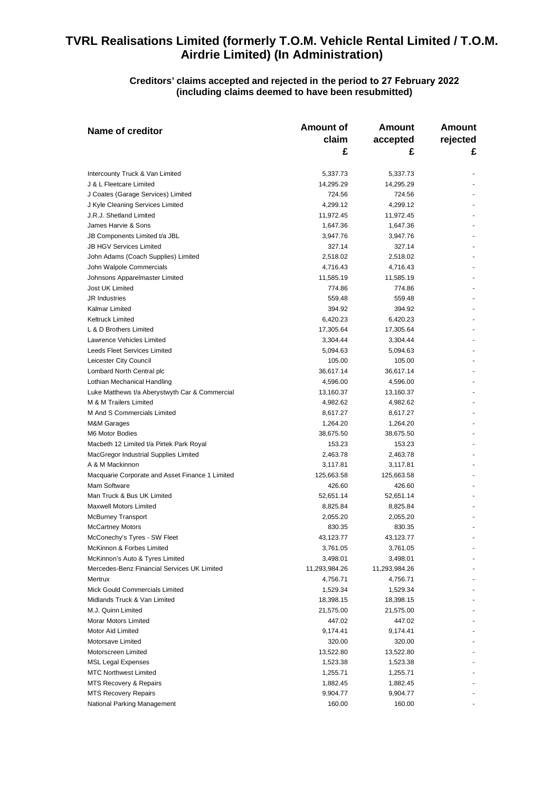| Name of creditor                                | <b>Amount of</b> | Amount        | Amount   |
|-------------------------------------------------|------------------|---------------|----------|
|                                                 | claim            | accepted      | rejected |
|                                                 | £                | £             | £        |
| Intercounty Truck & Van Limited                 | 5,337.73         | 5,337.73      |          |
| J & L Fleetcare Limited                         | 14,295.29        | 14,295.29     |          |
| J Coates (Garage Services) Limited              | 724.56           | 724.56        |          |
| J Kyle Cleaning Services Limited                | 4,299.12         | 4,299.12      |          |
| J.R.J. Shetland Limited                         | 11,972.45        | 11,972.45     |          |
| James Harvie & Sons                             | 1,647.36         | 1,647.36      |          |
| JB Components Limited t/a JBL                   | 3,947.76         | 3,947.76      |          |
| <b>JB HGV Services Limited</b>                  | 327.14           | 327.14        |          |
| John Adams (Coach Supplies) Limited             | 2,518.02         | 2,518.02      |          |
| John Walpole Commercials                        | 4,716.43         | 4,716.43      |          |
| Johnsons Apparelmaster Limited                  | 11,585.19        | 11,585.19     |          |
| Jost UK Limited                                 | 774.86           | 774.86        |          |
| <b>JR</b> Industries                            | 559.48           | 559.48        |          |
| Kalmar Limited                                  | 394.92           | 394.92        |          |
| <b>Keltruck Limited</b>                         | 6,420.23         | 6,420.23      |          |
| L & D Brothers Limited                          | 17,305.64        | 17,305.64     |          |
| Lawrence Vehicles Limited                       | 3,304.44         | 3,304.44      |          |
| Leeds Fleet Services Limited                    | 5,094.63         | 5,094.63      |          |
| Leicester City Council                          | 105.00           | 105.00        |          |
| Lombard North Central plc                       | 36,617.14        | 36,617.14     |          |
| Lothian Mechanical Handling                     | 4,596.00         | 4,596.00      |          |
| Luke Matthews t/a Aberystwyth Car & Commercial  | 13,160.37        | 13,160.37     |          |
| M & M Trailers Limited                          | 4,982.62         | 4,982.62      |          |
| M And S Commercials Limited                     | 8,617.27         | 8,617.27      |          |
| <b>M&amp;M Garages</b>                          | 1,264.20         | 1,264.20      |          |
| M6 Motor Bodies                                 | 38,675.50        | 38,675.50     |          |
| Macbeth 12 Limited t/a Pirtek Park Royal        | 153.23           | 153.23        |          |
| MacGregor Industrial Supplies Limited           | 2,463.78         | 2,463.78      |          |
| A & M Mackinnon                                 | 3,117.81         | 3,117.81      |          |
| Macquarie Corporate and Asset Finance 1 Limited | 125,663.58       | 125,663.58    |          |
| Mam Software                                    | 426.60           | 426.60        |          |
| Man Truck & Bus UK Limited                      | 52,651.14        | 52,651.14     |          |
| <b>Maxwell Motors Limited</b>                   | 8,825.84         | 8,825.84      |          |
| <b>McBurney Transport</b>                       | 2,055.20         | 2,055.20      |          |
| <b>McCartney Motors</b>                         | 830.35           | 830.35        |          |
| McConechy's Tyres - SW Fleet                    | 43,123.77        | 43,123.77     |          |
| McKinnon & Forbes Limited                       | 3,761.05         | 3,761.05      |          |
| McKinnon's Auto & Tyres Limited                 | 3,498.01         | 3,498.01      |          |
| Mercedes-Benz Financial Services UK Limited     | 11,293,984.26    | 11,293,984.26 |          |
| Mertrux                                         | 4,756.71         | 4,756.71      |          |
| Mick Gould Commercials Limited                  | 1,529.34         | 1,529.34      |          |
| Midlands Truck & Van Limited                    | 18,398.15        | 18,398.15     |          |
| M.J. Quinn Limited                              | 21,575.00        | 21,575.00     |          |
| <b>Morar Motors Limited</b>                     | 447.02           | 447.02        |          |
| Motor Aid Limited                               | 9,174.41         | 9,174.41      |          |
| Motorsave Limited                               | 320.00           | 320.00        |          |
| Motorscreen Limited                             | 13,522.80        | 13,522.80     |          |
| <b>MSL Legal Expenses</b>                       | 1,523.38         | 1,523.38      |          |
| <b>MTC Northwest Limited</b>                    | 1,255.71         | 1,255.71      |          |
| MTS Recovery & Repairs                          | 1,882.45         | 1,882.45      |          |
| <b>MTS Recovery Repairs</b>                     | 9,904.77         | 9,904.77      |          |
| National Parking Management                     | 160.00           | 160.00        |          |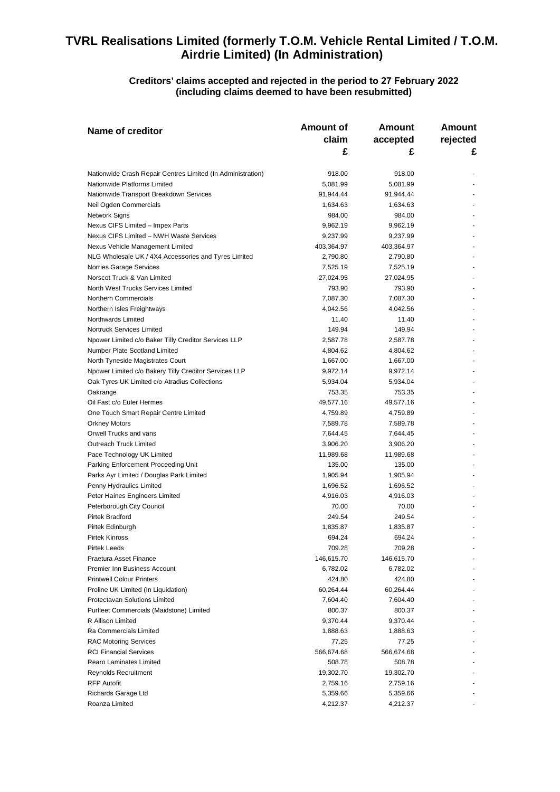| Name of creditor                                            | <b>Amount of</b> | Amount     | Amount   |
|-------------------------------------------------------------|------------------|------------|----------|
|                                                             | claim            | accepted   | rejected |
|                                                             | £                | £          | £        |
|                                                             |                  |            |          |
| Nationwide Crash Repair Centres Limited (In Administration) | 918.00           | 918.00     |          |
| Nationwide Platforms Limited                                | 5,081.99         | 5,081.99   |          |
| Nationwide Transport Breakdown Services                     | 91,944.44        | 91,944.44  |          |
| Neil Ogden Commercials                                      | 1,634.63         | 1,634.63   |          |
| <b>Network Signs</b>                                        | 984.00           | 984.00     |          |
| Nexus CIFS Limited - Impex Parts                            | 9,962.19         | 9,962.19   |          |
| Nexus CIFS Limited - NWH Waste Services                     | 9,237.99         | 9,237.99   |          |
| Nexus Vehicle Management Limited                            | 403,364.97       | 403,364.97 |          |
| NLG Wholesale UK / 4X4 Accessories and Tyres Limited        | 2,790.80         | 2,790.80   |          |
| Norries Garage Services                                     | 7,525.19         | 7,525.19   |          |
| Norscot Truck & Van Limited                                 | 27,024.95        | 27,024.95  |          |
| North West Trucks Services Limited                          | 793.90           | 793.90     |          |
| Northern Commercials                                        | 7,087.30         | 7,087.30   |          |
| Northern Isles Freightways                                  | 4.042.56         | 4,042.56   |          |
| Northwards Limited                                          | 11.40            | 11.40      |          |
| Nortruck Services Limited                                   | 149.94           | 149.94     |          |
| Npower Limited c/o Baker Tilly Creditor Services LLP        | 2,587.78         | 2,587.78   |          |
| Number Plate Scotland Limited                               | 4,804.62         | 4,804.62   |          |
| North Tyneside Magistrates Court                            | 1,667.00         | 1,667.00   |          |
| Npower Limited c/o Bakery Tilly Creditor Services LLP       | 9,972.14         | 9,972.14   |          |
| Oak Tyres UK Limited c/o Atradius Collections               | 5,934.04         | 5,934.04   |          |
| Oakrange                                                    | 753.35           | 753.35     |          |
| Oil Fast c/o Euler Hermes                                   | 49,577.16        | 49,577.16  |          |
| One Touch Smart Repair Centre Limited                       | 4,759.89         | 4,759.89   |          |
| <b>Orkney Motors</b>                                        | 7,589.78         | 7,589.78   |          |
| Orwell Trucks and vans                                      | 7,644.45         | 7,644.45   |          |
| Outreach Truck Limited                                      | 3,906.20         | 3,906.20   |          |
| Pace Technology UK Limited                                  | 11,989.68        | 11,989.68  |          |
| Parking Enforcement Proceeding Unit                         | 135.00           | 135.00     |          |
| Parks Ayr Limited / Douglas Park Limited                    | 1,905.94         | 1,905.94   |          |
| Penny Hydraulics Limited                                    | 1,696.52         | 1,696.52   |          |
| Peter Haines Engineers Limited                              | 4,916.03         | 4,916.03   |          |
| Peterborough City Council                                   | 70.00            | 70.00      |          |
| <b>Pirtek Bradford</b>                                      | 249.54           | 249.54     |          |
| Pirtek Edinburgh                                            | 1,835.87         | 1,835.87   |          |
| Pirtek Kinross                                              | 694.24           | 694.24     |          |
| Pirtek Leeds                                                | 709.28           | 709.28     |          |
| Praetura Asset Finance                                      | 146,615.70       | 146,615.70 |          |
| Premier Inn Business Account                                | 6,782.02         | 6,782.02   |          |
| <b>Printwell Colour Printers</b>                            | 424.80           | 424.80     |          |
| Proline UK Limited (In Liquidation)                         | 60,264.44        | 60,264.44  |          |
| Protectavan Solutions Limited                               | 7,604.40         | 7,604.40   |          |
| Purfleet Commercials (Maidstone) Limited                    | 800.37           | 800.37     |          |
| R Allison Limited                                           | 9,370.44         | 9,370.44   |          |
| Ra Commercials Limited                                      | 1,888.63         | 1,888.63   |          |
| <b>RAC Motoring Services</b>                                | 77.25            | 77.25      |          |
| <b>RCI Financial Services</b>                               | 566,674.68       | 566,674.68 |          |
| Rearo Laminates Limited                                     | 508.78           | 508.78     |          |
| <b>Reynolds Recruitment</b>                                 | 19,302.70        | 19,302.70  |          |
| <b>RFP Autofit</b>                                          | 2,759.16         | 2,759.16   |          |
| Richards Garage Ltd                                         | 5,359.66         | 5,359.66   |          |
| Roanza Limited                                              | 4,212.37         | 4,212.37   |          |
|                                                             |                  |            |          |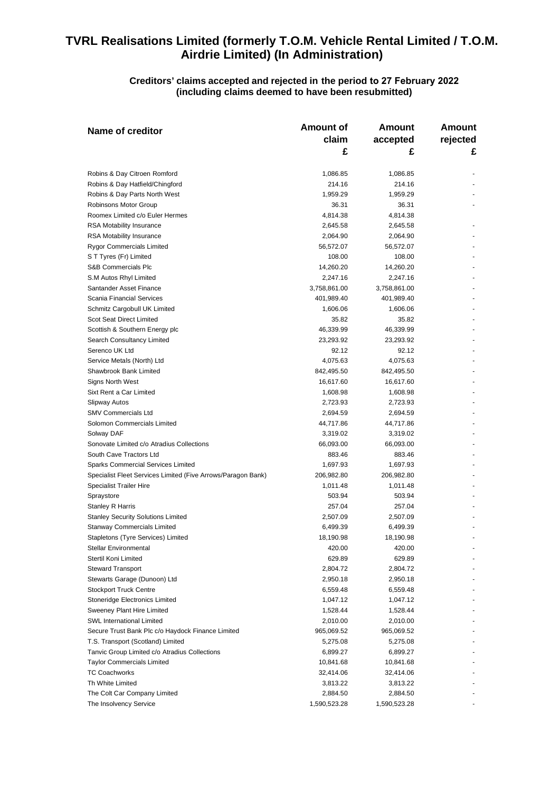| Name of creditor                                             | <b>Amount of</b>   | Amount             | Amount   |
|--------------------------------------------------------------|--------------------|--------------------|----------|
|                                                              | claim              | accepted           | rejected |
|                                                              | £                  | £                  | £        |
|                                                              |                    |                    |          |
| Robins & Day Citroen Romford                                 | 1,086.85           | 1,086.85           |          |
| Robins & Day Hatfield/Chingford                              | 214.16             | 214.16             |          |
| Robins & Day Parts North West                                | 1,959.29           | 1,959.29           |          |
| Robinsons Motor Group                                        | 36.31              | 36.31              |          |
| Roomex Limited c/o Euler Hermes                              | 4,814.38           | 4,814.38           |          |
| <b>RSA Motability Insurance</b>                              | 2,645.58           | 2,645.58           |          |
| <b>RSA Motability Insurance</b>                              | 2,064.90           | 2,064.90           |          |
| <b>Rygor Commercials Limited</b>                             | 56,572.07          | 56,572.07          |          |
| ST Tyres (Fr) Limited                                        | 108.00             | 108.00             |          |
| S&B Commercials Plc                                          | 14,260.20          | 14,260.20          |          |
| S.M Autos Rhyl Limited                                       | 2,247.16           | 2,247.16           |          |
| Santander Asset Finance                                      | 3,758,861.00       | 3,758,861.00       |          |
| Scania Financial Services                                    | 401,989.40         | 401,989.40         |          |
| Schmitz Cargobull UK Limited                                 | 1,606.06           | 1,606.06           |          |
| Scot Seat Direct Limited                                     | 35.82              | 35.82              |          |
| Scottish & Southern Energy plc                               | 46,339.99          | 46,339.99          |          |
| Search Consultancy Limited                                   | 23,293.92          | 23,293.92          |          |
| Serenco UK Ltd                                               | 92.12              | 92.12              |          |
| Service Metals (North) Ltd                                   | 4,075.63           | 4,075.63           |          |
| Shawbrook Bank Limited                                       | 842,495.50         | 842,495.50         |          |
| Signs North West                                             | 16,617.60          | 16,617.60          |          |
| Sixt Rent a Car Limited                                      | 1,608.98           | 1,608.98           |          |
| Slipway Autos                                                | 2,723.93           | 2,723.93           |          |
| <b>SMV Commercials Ltd</b>                                   | 2,694.59           | 2,694.59           |          |
| Solomon Commercials Limited                                  | 44,717.86          | 44,717.86          |          |
| Solway DAF                                                   | 3,319.02           | 3,319.02           |          |
| Sonovate Limited c/o Atradius Collections                    | 66,093.00          | 66,093.00          |          |
| South Cave Tractors Ltd                                      | 883.46             | 883.46             |          |
| <b>Sparks Commercial Services Limited</b>                    | 1,697.93           | 1,697.93           |          |
| Specialist Fleet Services Limited (Five Arrows/Paragon Bank) | 206,982.80         | 206,982.80         |          |
|                                                              |                    |                    |          |
| <b>Specialist Trailer Hire</b>                               | 1,011.48<br>503.94 | 1,011.48<br>503.94 |          |
| Spraystore                                                   |                    |                    |          |
| <b>Stanley R Harris</b>                                      | 257.04             | 257.04             |          |
| <b>Stanley Security Solutions Limited</b>                    | 2,507.09           | 2,507.09           |          |
| Stanway Commercials Limited                                  | 6,499.39           | 6,499.39           |          |
| Stapletons (Tyre Services) Limited                           | 18,190.98          | 18,190.98          |          |
| Stellar Environmental                                        | 420.00             | 420.00             |          |
| Stertil Koni Limited                                         | 629.89             | 629.89             |          |
| <b>Steward Transport</b>                                     | 2,804.72           | 2,804.72           |          |
| Stewarts Garage (Dunoon) Ltd                                 | 2,950.18           | 2,950.18           |          |
| <b>Stockport Truck Centre</b>                                | 6,559.48           | 6,559.48           |          |
| Stoneridge Electronics Limited                               | 1,047.12           | 1,047.12           |          |
| Sweeney Plant Hire Limited                                   | 1,528.44           | 1,528.44           |          |
| <b>SWL International Limited</b>                             | 2,010.00           | 2,010.00           |          |
| Secure Trust Bank Plc c/o Haydock Finance Limited            | 965,069.52         | 965,069.52         |          |
| T.S. Transport (Scotland) Limited                            | 5,275.08           | 5,275.08           |          |
| Tanvic Group Limited c/o Atradius Collections                | 6,899.27           | 6,899.27           |          |
| <b>Taylor Commercials Limited</b>                            | 10,841.68          | 10,841.68          |          |
| <b>TC Coachworks</b>                                         | 32,414.06          | 32,414.06          |          |
| Th White Limited                                             | 3,813.22           | 3,813.22           |          |
| The Colt Car Company Limited                                 | 2,884.50           | 2,884.50           |          |
| The Insolvency Service                                       | 1,590,523.28       | 1,590,523.28       |          |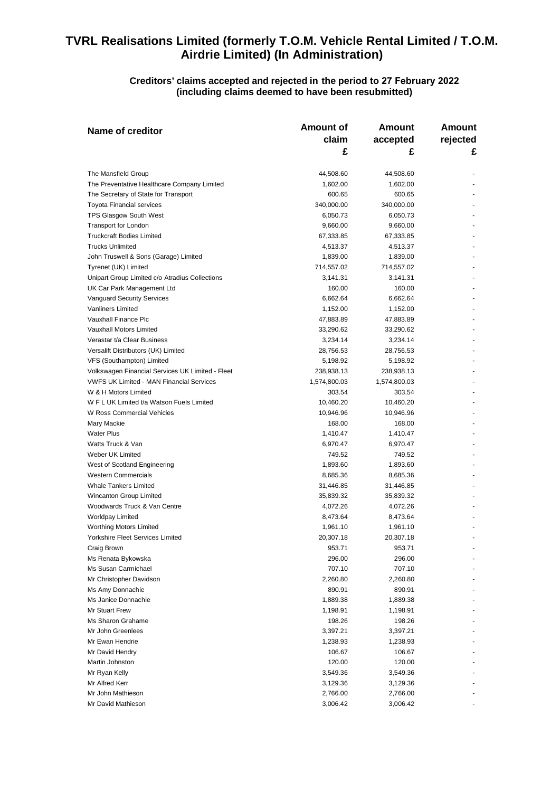| Name of creditor                                 | Amount of    | Amount       | Amount   |
|--------------------------------------------------|--------------|--------------|----------|
|                                                  | claim        | accepted     | rejected |
|                                                  | £            | £            | £        |
| The Mansfield Group                              | 44,508.60    | 44,508.60    |          |
| The Preventative Healthcare Company Limited      | 1,602.00     | 1,602.00     |          |
| The Secretary of State for Transport             | 600.65       | 600.65       |          |
| <b>Toyota Financial services</b>                 | 340,000.00   | 340,000.00   |          |
| TPS Glasgow South West                           | 6,050.73     | 6,050.73     |          |
|                                                  | 9,660.00     |              |          |
| <b>Transport for London</b>                      |              | 9,660.00     |          |
| <b>Truckcraft Bodies Limited</b>                 | 67,333.85    | 67,333.85    |          |
| <b>Trucks Unlimited</b>                          | 4,513.37     | 4,513.37     |          |
| John Truswell & Sons (Garage) Limited            | 1,839.00     | 1,839.00     |          |
| Tyrenet (UK) Limited                             | 714,557.02   | 714,557.02   |          |
| Unipart Group Limited c/o Atradius Collections   | 3,141.31     | 3,141.31     |          |
| UK Car Park Management Ltd                       | 160.00       | 160.00       |          |
| <b>Vanguard Security Services</b>                | 6,662.64     | 6,662.64     |          |
| <b>Vanliners Limited</b>                         | 1,152.00     | 1,152.00     |          |
| Vauxhall Finance Plc                             | 47,883.89    | 47,883.89    |          |
| Vauxhall Motors Limited                          | 33,290.62    | 33,290.62    |          |
| Verastar t/a Clear Business                      | 3,234.14     | 3,234.14     |          |
| Versalift Distributors (UK) Limited              | 28,756.53    | 28,756.53    |          |
| VFS (Southampton) Limited                        | 5,198.92     | 5,198.92     |          |
| Volkswagen Financial Services UK Limited - Fleet | 238,938.13   | 238,938.13   |          |
| <b>VWFS UK Limited - MAN Financial Services</b>  | 1,574,800.03 | 1,574,800.03 |          |
| W & H Motors Limited                             | 303.54       | 303.54       |          |
| W F L UK Limited t/a Watson Fuels Limited        | 10,460.20    | 10,460.20    |          |
| W Ross Commercial Vehicles                       | 10,946.96    | 10,946.96    |          |
| Mary Mackie                                      | 168.00       | 168.00       |          |
| <b>Water Plus</b>                                | 1,410.47     | 1,410.47     |          |
| Watts Truck & Van                                | 6,970.47     | 6,970.47     |          |
| Weber UK Limited                                 | 749.52       | 749.52       |          |
| West of Scotland Engineering                     | 1,893.60     | 1,893.60     |          |
| <b>Western Commercials</b>                       | 8,685.36     | 8,685.36     |          |
| <b>Whale Tankers Limited</b>                     | 31,446.85    | 31,446.85    |          |
| Wincanton Group Limited                          | 35,839.32    | 35,839.32    |          |
| Woodwards Truck & Van Centre                     | 4,072.26     | 4,072.26     |          |
| Worldpay Limited                                 | 8,473.64     | 8,473.64     |          |
| <b>Worthing Motors Limited</b>                   | 1,961.10     | 1,961.10     |          |
| Yorkshire Fleet Services Limited                 | 20,307.18    | 20,307.18    |          |
| Craig Brown                                      | 953.71       | 953.71       |          |
| Ms Renata Bykowska                               | 296.00       | 296.00       |          |
| Ms Susan Carmichael                              |              |              |          |
|                                                  | 707.10       | 707.10       |          |
| Mr Christopher Davidson                          | 2,260.80     | 2,260.80     |          |
| Ms Amy Donnachie                                 | 890.91       | 890.91       |          |
| Ms Janice Donnachie                              | 1,889.38     | 1,889.38     |          |
| <b>Mr Stuart Frew</b>                            | 1,198.91     | 1,198.91     |          |
| Ms Sharon Grahame                                | 198.26       | 198.26       |          |
| Mr John Greenlees                                | 3,397.21     | 3,397.21     |          |
| Mr Ewan Hendrie                                  | 1,238.93     | 1,238.93     |          |
| Mr David Hendry                                  | 106.67       | 106.67       |          |
| Martin Johnston                                  | 120.00       | 120.00       |          |
| Mr Ryan Kelly                                    | 3,549.36     | 3,549.36     |          |
| Mr Alfred Kerr                                   | 3,129.36     | 3,129.36     |          |
| Mr John Mathieson                                | 2,766.00     | 2,766.00     |          |
| Mr David Mathieson                               | 3,006.42     | 3,006.42     |          |